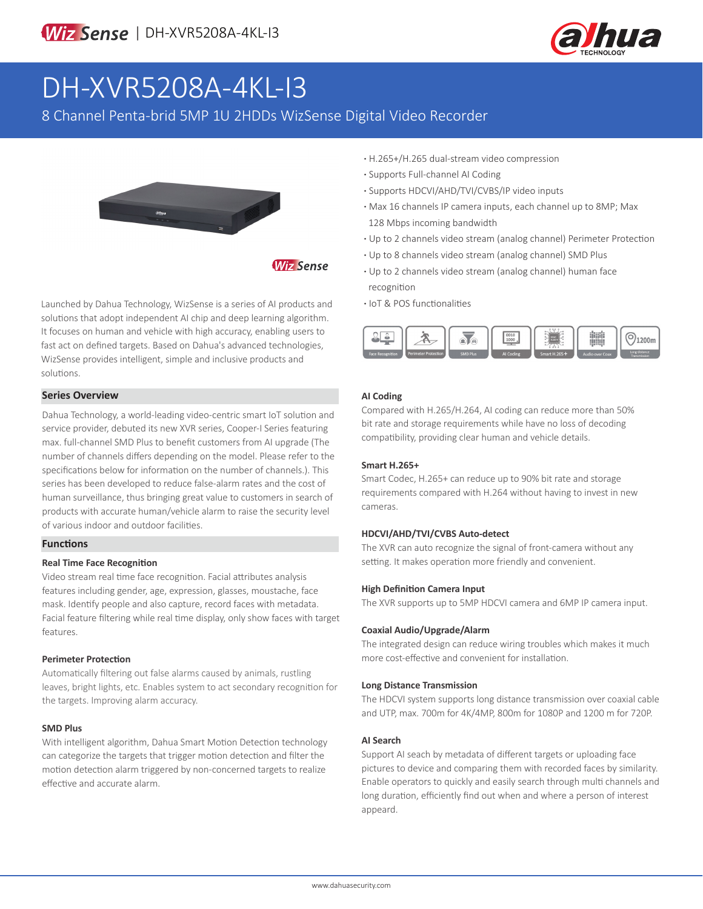

# DH-XVR5208A-4KL-I3

8 Channel Penta-brid 5MP 1U 2HDDs WizSense Digital Video Recorder



**Wiz Sense** 

Launched by Dahua Technology, WizSense is a series of AI products and solutions that adopt independent AI chip and deep learning algorithm. It focuses on human and vehicle with high accuracy, enabling users to fast act on defined targets. Based on Dahua's advanced technologies, WizSense provides intelligent, simple and inclusive products and solutions.

#### **Series Overview**

Dahua Technology, a world-leading video-centric smart IoT solution and service provider, debuted its new XVR series, Cooper-I Series featuring max. full-channel SMD Plus to benefit customers from AI upgrade (The number of channels differs depending on the model. Please refer to the specifications below for information on the number of channels.). This series has been developed to reduce false-alarm rates and the cost of human surveillance, thus bringing great value to customers in search of products with accurate human/vehicle alarm to raise the security level of various indoor and outdoor facilities.

#### **Functions**

#### **Real Time Face Recognition**

Video stream real time face recognition. Facial attributes analysis features including gender, age, expression, glasses, moustache, face mask. Identify people and also capture, record faces with metadata. Facial feature filtering while real time display, only show faces with target features.

#### **Perimeter Protection**

Automatically filtering out false alarms caused by animals, rustling leaves, bright lights, etc. Enables system to act secondary recognition for the targets. Improving alarm accuracy.

#### **SMD Plus**

With intelligent algorithm, Dahua Smart Motion Detection technology can categorize the targets that trigger motion detection and filter the motion detection alarm triggered by non-concerned targets to realize effective and accurate alarm.

- **·** H.265+/H.265 dual-stream video compression
- **·** Supports Full-channel AI Coding
- **·** Supports HDCVI/AHD/TVI/CVBS/IP video inputs
- **·** Max 16 channels IP camera inputs, each channel up to 8MP; Max 128 Mbps incoming bandwidth
- **·** Up to 2 channels video stream (analog channel) Perimeter Protection
- **·** Up to 8 channels video stream (analog channel) SMD Plus
- **·** Up to 2 channels video stream (analog channel) human face recognition
- **·** IoT & POS functionalities



#### **AI Coding**

Compared with H.265/H.264, AI coding can reduce more than 50% bit rate and storage requirements while have no loss of decoding compatibility, providing clear human and vehicle details.

#### **Smart H.265+**

Smart Codec, H.265+ can reduce up to 90% bit rate and storage requirements compared with H.264 without having to invest in new cameras.

#### **HDCVI/AHD/TVI/CVBS Auto-detect**

The XVR can auto recognize the signal of front-camera without any setting. It makes operation more friendly and convenient.

#### **High Definition Camera Input**

The XVR supports up to 5MP HDCVI camera and 6MP IP camera input.

#### **Coaxial Audio/Upgrade/Alarm**

The integrated design can reduce wiring troubles which makes it much more cost-effective and convenient for installation.

#### **Long Distance Transmission**

The HDCVI system supports long distance transmission over coaxial cable and UTP, max. 700m for 4K/4MP, 800m for 1080P and 1200 m for 720P.

#### **AI Search**

Support AI seach by metadata of different targets or uploading face pictures to device and comparing them with recorded faces by similarity. Enable operators to quickly and easily search through multi channels and long duration, efficiently find out when and where a person of interest appeard.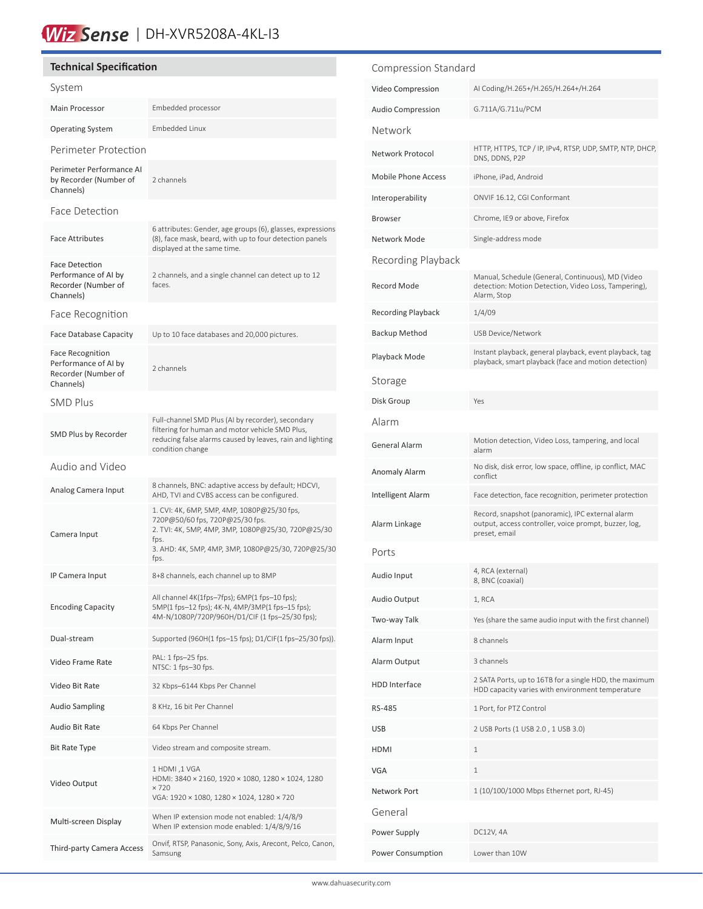## Wiz Sense | DH-XVR5208A-4KL-13

#### **Technical Specification**

| System                                                                              |                                                                                                                                                                                                            |  |
|-------------------------------------------------------------------------------------|------------------------------------------------------------------------------------------------------------------------------------------------------------------------------------------------------------|--|
| Main Processor                                                                      | Embedded processor                                                                                                                                                                                         |  |
| <b>Operating System</b>                                                             | <b>Embedded Linux</b>                                                                                                                                                                                      |  |
| Perimeter Protection                                                                |                                                                                                                                                                                                            |  |
| Perimeter Performance AI<br>by Recorder (Number of<br>Channels)                     | 2 channels                                                                                                                                                                                                 |  |
| Face Detection                                                                      |                                                                                                                                                                                                            |  |
| <b>Face Attributes</b>                                                              | 6 attributes: Gender, age groups (6), glasses, expressions<br>(8), face mask, beard, with up to four detection panels<br>displayed at the same time.                                                       |  |
| Face Detection<br>Performance of AI by<br>Recorder (Number of<br>Channels)          | 2 channels, and a single channel can detect up to 12<br>faces.                                                                                                                                             |  |
| Face Recognition                                                                    |                                                                                                                                                                                                            |  |
| <b>Face Database Capacity</b>                                                       | Up to 10 face databases and 20,000 pictures.                                                                                                                                                               |  |
| <b>Face Recognition</b><br>Performance of AI by<br>Recorder (Number of<br>Channels) | 2 channels                                                                                                                                                                                                 |  |
| <b>SMD Plus</b>                                                                     |                                                                                                                                                                                                            |  |
| SMD Plus by Recorder                                                                | Full-channel SMD Plus (AI by recorder), secondary<br>filtering for human and motor vehicle SMD Plus,<br>reducing false alarms caused by leaves, rain and lighting<br>condition change                      |  |
| Audio and Video                                                                     |                                                                                                                                                                                                            |  |
| Analog Camera Input                                                                 | 8 channels, BNC: adaptive access by default; HDCVI,<br>AHD, TVI and CVBS access can be configured.                                                                                                         |  |
| Camera Input                                                                        | 1. CVI: 4K, 6MP, 5MP, 4MP, 1080P@25/30 fps,<br>720P@50/60 fps, 720P@25/30 fps.<br>2. TVI: 4K, 5MP, 4MP, 3MP, 1080P@25/30, 720P@25/30<br>fps.<br>3. AHD: 4K, 5MP, 4MP, 3MP, 1080P@25/30, 720P@25/30<br>fps. |  |
| IP Camera Input                                                                     | 8+8 channels, each channel up to 8MP                                                                                                                                                                       |  |
| <b>Encoding Capacity</b>                                                            | All channel 4K(1fps-7fps); 6MP(1 fps-10 fps);<br>5MP(1 fps-12 fps); 4K-N, 4MP/3MP(1 fps-15 fps);<br>4M-N/1080P/720P/960H/D1/CIF (1 fps-25/30 fps);                                                         |  |
| Dual-stream                                                                         | Supported (960H(1 fps-15 fps); D1/CIF(1 fps-25/30 fps)).                                                                                                                                                   |  |
| Video Frame Rate                                                                    | PAL: 1 fps-25 fps.<br>NTSC: 1 fps-30 fps.                                                                                                                                                                  |  |
| Video Bit Rate                                                                      | 32 Kbps-6144 Kbps Per Channel                                                                                                                                                                              |  |
| <b>Audio Sampling</b>                                                               | 8 KHz, 16 bit Per Channel                                                                                                                                                                                  |  |
| Audio Bit Rate                                                                      | 64 Kbps Per Channel                                                                                                                                                                                        |  |
| Bit Rate Type                                                                       | Video stream and composite stream.                                                                                                                                                                         |  |
|                                                                                     | 1 HDMI ,1 VGA<br>HDMI: 3840 × 2160, 1920 × 1080, 1280 × 1024, 1280<br>$\times 720$                                                                                                                         |  |
| Video Output                                                                        | VGA: 1920 × 1080, 1280 × 1024, 1280 × 720                                                                                                                                                                  |  |
| Multi-screen Display                                                                | When IP extension mode not enabled: 1/4/8/9<br>When IP extension mode enabled: 1/4/8/9/16                                                                                                                  |  |

### Compression Standard Video Compression AI Coding/H.265+/H.265/H.264+/H.264 Audio Compression **G.711A/G.711u/PCM** Network Network Protocol HTTP, HTTPS, TCP / IP, IPv4, RTSP, UDP, SMTP, NTP, DHCP, DNS, DDNS, P2P Mobile Phone Access iPhone, iPad, Android Interoperability ONVIF 16.12, CGI Conformant Browser Chrome, IE9 or above, Firefox Network Mode Single-address mode Recording Playback Record Mode Manual, Schedule (General, Continuous), MD (Video detection: Motion Detection, Video Loss, Tampering), Alarm, Stop Recording Playback 1/4/09 Backup Method USB Device/Network Instant playback, general playback, event playback, tag<br>
Instant playback constrained free and metion datestion playback, smart playback (face and motion detection) Storage Disk Group Yes Alarm General Alarm Motion detection, Video Loss, tampering, and local alarm Anomaly Alarm No disk, disk error, low space, offline, ip conflict, MAC conflict Intelligent Alarm Face detection, face recognition, perimeter protection Alarm Linkage Record, snapshot (panoramic), IPC external alarm output, access controller, voice prompt, buzzer, log, preset, email Ports Audio Input 4, RCA (external) 8, BNC (coaxial) Audio Output 1, RCA Two-way Talk Yes (share the same audio input with the first channel) Alarm Input 8 channels Alarm Output 3 channels HDD Interface 2 SATA Ports, up to 16TB for a single HDD, the maximum HDD capacity varies with environment temperature RS-485 1 Port, for PTZ Control USB 2 USB Ports (1 USB 2.0 , 1 USB 3.0) HDMI 1 VGA 1 Network Port 1 (10/100/1000 Mbps Ethernet port, RJ-45) General Power Supply DC12V, 4A Power Consumption Lower than 10W